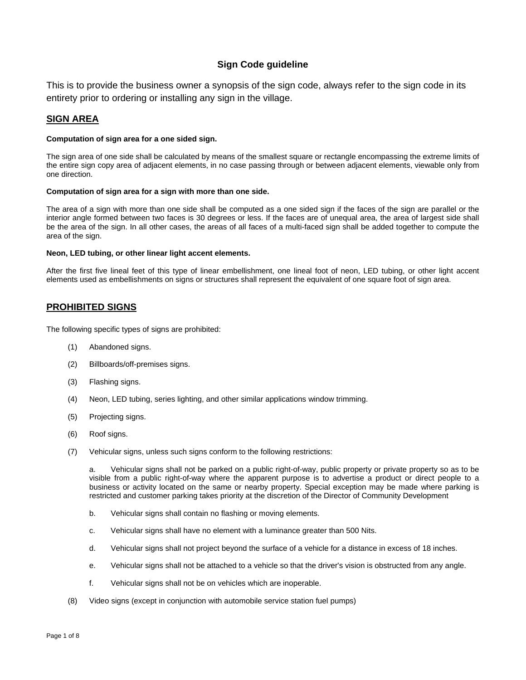# **Sign Code guideline**

This is to provide the business owner a synopsis of the sign code, always refer to the sign code in its entirety prior to ordering or installing any sign in the village.

# **SIGN AREA**

### **Computation of sign area for a one sided sign.**

The sign area of one side shall be calculated by means of the smallest square or rectangle encompassing the extreme limits of the entire sign copy area of adjacent elements, in no case passing through or between adjacent elements, viewable only from one direction.

### **Computation of sign area for a sign with more than one side.**

The area of a sign with more than one side shall be computed as a one sided sign if the faces of the sign are parallel or the interior angle formed between two faces is 30 degrees or less. If the faces are of unequal area, the area of largest side shall be the area of the sign. In all other cases, the areas of all faces of a multi-faced sign shall be added together to compute the area of the sign.

### **Neon, LED tubing, or other linear light accent elements.**

After the first five lineal feet of this type of linear embellishment, one lineal foot of neon, LED tubing, or other light accent elements used as embellishments on signs or structures shall represent the equivalent of one square foot of sign area.

## **PROHIBITED SIGNS**

The following specific types of signs are prohibited:

- (1) Abandoned signs.
- (2) Billboards/off-premises signs.
- (3) Flashing signs.
- (4) Neon, LED tubing, series lighting, and other similar applications window trimming.
- (5) Projecting signs.
- (6) Roof signs.
- (7) Vehicular signs, unless such signs conform to the following restrictions:

a. Vehicular signs shall not be parked on a public right-of-way, public property or private property so as to be visible from a public right-of-way where the apparent purpose is to advertise a product or direct people to a business or activity located on the same or nearby property. Special exception may be made where parking is restricted and customer parking takes priority at the discretion of the Director of Community Development

- b. Vehicular signs shall contain no flashing or moving elements.
- c. Vehicular signs shall have no element with a luminance greater than 500 Nits.
- d. Vehicular signs shall not project beyond the surface of a vehicle for a distance in excess of 18 inches.
- e. Vehicular signs shall not be attached to a vehicle so that the driver's vision is obstructed from any angle.
- f. Vehicular signs shall not be on vehicles which are inoperable.
- (8) Video signs (except in conjunction with automobile service station fuel pumps)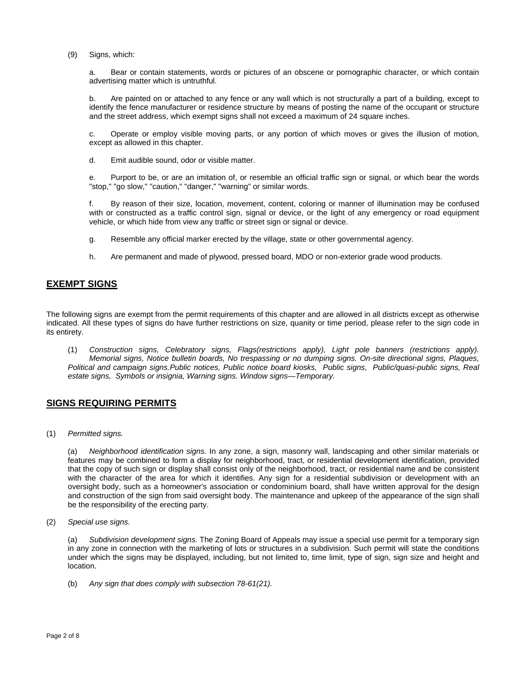(9) Signs, which:

a. Bear or contain statements, words or pictures of an obscene or pornographic character, or which contain advertising matter which is untruthful.

b. Are painted on or attached to any fence or any wall which is not structurally a part of a building, except to identify the fence manufacturer or residence structure by means of posting the name of the occupant or structure and the street address, which exempt signs shall not exceed a maximum of 24 square inches.

c. Operate or employ visible moving parts, or any portion of which moves or gives the illusion of motion, except as allowed in this chapter.

d. Emit audible sound, odor or visible matter.

e. Purport to be, or are an imitation of, or resemble an official traffic sign or signal, or which bear the words "stop," "go slow," "caution," "danger," "warning" or similar words.

f. By reason of their size, location, movement, content, coloring or manner of illumination may be confused with or constructed as a traffic control sign, signal or device, or the light of any emergency or road equipment vehicle, or which hide from view any traffic or street sign or signal or device.

- g. Resemble any official marker erected by the village, state or other governmental agency.
- h. Are permanent and made of plywood, pressed board, MDO or non-exterior grade wood products.

## **EXEMPT SIGNS**

The following signs are exempt from the permit requirements of this chapter and are allowed in all districts except as otherwise indicated. All these types of signs do have further restrictions on size, quanity or time period, please refer to the sign code in its entirety.

(1) *Construction signs, Celebratory signs, Flags(restrictions apply), Light pole banners (restrictions apply). Memorial signs, Notice bulletin boards, No trespassing or no dumping signs. On-site directional signs, Plaques, Political and campaign signs.Public notices, Public notice board kiosks, Public signs, Public/quasi-public signs, Real estate signs, Symbols or insignia, Warning signs. Window signs—Temporary.*

# **SIGNS REQUIRING PERMITS**

(1) *Permitted signs.*

(a) *Neighborhood identification signs.* In any zone, a sign, masonry wall, landscaping and other similar materials or features may be combined to form a display for neighborhood, tract, or residential development identification, provided that the copy of such sign or display shall consist only of the neighborhood, tract, or residential name and be consistent with the character of the area for which it identifies. Any sign for a residential subdivision or development with an oversight body, such as a homeowner's association or condominium board, shall have written approval for the design and construction of the sign from said oversight body. The maintenance and upkeep of the appearance of the sign shall be the responsibility of the erecting party.

(2) *Special use signs.*

(a) *Subdivision development signs.* The Zoning Board of Appeals may issue a special use permit for a temporary sign in any zone in connection with the marketing of lots or structures in a subdivision. Such permit will state the conditions under which the signs may be displayed, including, but not limited to, time limit, type of sign, sign size and height and location.

(b) *Any sign that does comply with subsection 78-61(21).*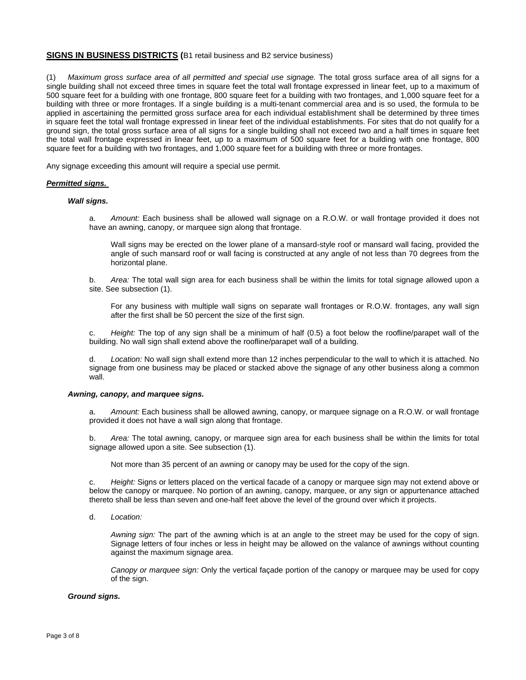### **SIGNS IN BUSINESS DISTRICTS (**B1 retail business and B2 service business)

(1) *Maximum gross surface area of all permitted and special use signage.* The total gross surface area of all signs for a single building shall not exceed three times in square feet the total wall frontage expressed in linear feet, up to a maximum of 500 square feet for a building with one frontage, 800 square feet for a building with two frontages, and 1,000 square feet for a building with three or more frontages. If a single building is a multi-tenant commercial area and is so used, the formula to be applied in ascertaining the permitted gross surface area for each individual establishment shall be determined by three times in square feet the total wall frontage expressed in linear feet of the individual establishments. For sites that do not qualify for a ground sign, the total gross surface area of all signs for a single building shall not exceed two and a half times in square feet the total wall frontage expressed in linear feet, up to a maximum of 500 square feet for a building with one frontage, 800 square feet for a building with two frontages, and 1,000 square feet for a building with three or more frontages.

Any signage exceeding this amount will require a special use permit.

#### *Permitted signs.*

#### *Wall signs.*

a. *Amount:* Each business shall be allowed wall signage on a R.O.W. or wall frontage provided it does not have an awning, canopy, or marquee sign along that frontage.

Wall signs may be erected on the lower plane of a mansard-style roof or mansard wall facing, provided the angle of such mansard roof or wall facing is constructed at any angle of not less than 70 degrees from the horizontal plane.

b. *Area:* The total wall sign area for each business shall be within the limits for total signage allowed upon a site. See subsection (1).

For any business with multiple wall signs on separate wall frontages or R.O.W. frontages, any wall sign after the first shall be 50 percent the size of the first sign.

c. *Height:* The top of any sign shall be a minimum of half (0.5) a foot below the roofline/parapet wall of the building. No wall sign shall extend above the roofline/parapet wall of a building.

d. *Location:* No wall sign shall extend more than 12 inches perpendicular to the wall to which it is attached. No signage from one business may be placed or stacked above the signage of any other business along a common wall.

#### *Awning, canopy, and marquee signs.*

Amount: Each business shall be allowed awning, canopy, or marquee signage on a R.O.W. or wall frontage provided it does not have a wall sign along that frontage.

b. *Area:* The total awning, canopy, or marquee sign area for each business shall be within the limits for total signage allowed upon a site. See subsection (1).

Not more than 35 percent of an awning or canopy may be used for the copy of the sign.

c. *Height:* Signs or letters placed on the vertical facade of a canopy or marquee sign may not extend above or below the canopy or marquee. No portion of an awning, canopy, marquee, or any sign or appurtenance attached thereto shall be less than seven and one-half feet above the level of the ground over which it projects.

d. *Location:*

*Awning sign:* The part of the awning which is at an angle to the street may be used for the copy of sign. Signage letters of four inches or less in height may be allowed on the valance of awnings without counting against the maximum signage area.

*Canopy or marquee sign:* Only the vertical façade portion of the canopy or marquee may be used for copy of the sign.

#### *Ground signs.*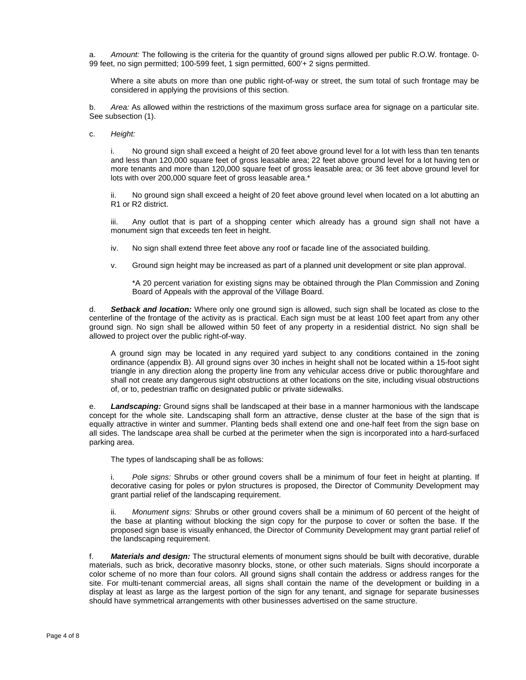a. *Amount:* The following is the criteria for the quantity of ground signs allowed per public R.O.W. frontage. 0- 99 feet, no sign permitted; 100-599 feet, 1 sign permitted, 600'+ 2 signs permitted.

Where a site abuts on more than one public right-of-way or street, the sum total of such frontage may be considered in applying the provisions of this section.

b. *Area:* As allowed within the restrictions of the maximum gross surface area for signage on a particular site. See subsection (1).

c. *Height:*

i. No ground sign shall exceed a height of 20 feet above ground level for a lot with less than ten tenants and less than 120,000 square feet of gross leasable area; 22 feet above ground level for a lot having ten or more tenants and more than 120,000 square feet of gross leasable area; or 36 feet above ground level for lots with over 200,000 square feet of gross leasable area.\*

ii. No ground sign shall exceed a height of 20 feet above ground level when located on a lot abutting an R1 or R2 district.

iii. Any outlot that is part of a shopping center which already has a ground sign shall not have a monument sign that exceeds ten feet in height.

iv. No sign shall extend three feet above any roof or facade line of the associated building.

v. Ground sign height may be increased as part of a planned unit development or site plan approval.

\*A 20 percent variation for existing signs may be obtained through the Plan Commission and Zoning Board of Appeals with the approval of the Village Board.

d. *Setback and location:* Where only one ground sign is allowed, such sign shall be located as close to the centerline of the frontage of the activity as is practical. Each sign must be at least 100 feet apart from any other ground sign. No sign shall be allowed within 50 feet of any property in a residential district. No sign shall be allowed to project over the public right-of-way.

A ground sign may be located in any required yard subject to any conditions contained in the zoning ordinance (appendix B). All ground signs over 30 inches in height shall not be located within a 15-foot sight triangle in any direction along the property line from any vehicular access drive or public thoroughfare and shall not create any dangerous sight obstructions at other locations on the site, including visual obstructions of, or to, pedestrian traffic on designated public or private sidewalks.

e. *Landscaping:* Ground signs shall be landscaped at their base in a manner harmonious with the landscape concept for the whole site. Landscaping shall form an attractive, dense cluster at the base of the sign that is equally attractive in winter and summer. Planting beds shall extend one and one-half feet from the sign base on all sides. The landscape area shall be curbed at the perimeter when the sign is incorporated into a hard-surfaced parking area.

The types of landscaping shall be as follows:

i. *Pole signs:* Shrubs or other ground covers shall be a minimum of four feet in height at planting. If decorative casing for poles or pylon structures is proposed, the Director of Community Development may grant partial relief of the landscaping requirement.

ii. *Monument signs:* Shrubs or other ground covers shall be a minimum of 60 percent of the height of the base at planting without blocking the sign copy for the purpose to cover or soften the base. If the proposed sign base is visually enhanced, the Director of Community Development may grant partial relief of the landscaping requirement.

f. *Materials and design:* The structural elements of monument signs should be built with decorative, durable materials, such as brick, decorative masonry blocks, stone, or other such materials. Signs should incorporate a color scheme of no more than four colors. All ground signs shall contain the address or address ranges for the site. For multi-tenant commercial areas, all signs shall contain the name of the development or building in a display at least as large as the largest portion of the sign for any tenant, and signage for separate businesses should have symmetrical arrangements with other businesses advertised on the same structure.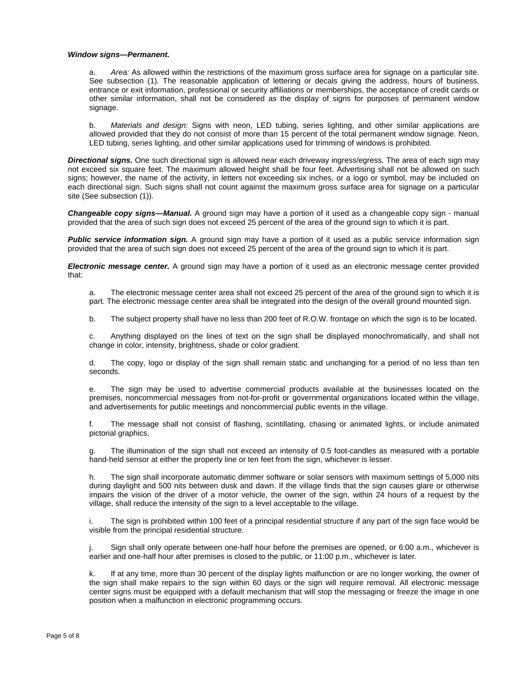#### *Window signs—Permanent.*

a. *Area:* As allowed within the restrictions of the maximum gross surface area for signage on a particular site. See subsection (1). The reasonable application of lettering or decals giving the address, hours of business, entrance or exit information, professional or security affiliations or memberships, the acceptance of credit cards or other similar information, shall not be considered as the display of signs for purposes of permanent window signage.

b. *Materials and design:* Signs with neon, LED tubing, series lighting, and other similar applications are allowed provided that they do not consist of more than 15 percent of the total permanent window signage. Neon, LED tubing, series lighting, and other similar applications used for trimming of windows is prohibited.

*Directional signs.* One such directional sign is allowed near each driveway ingress/egress. The area of each sign may not exceed six square feet. The maximum allowed height shall be four feet. Advertising shall not be allowed on such signs; however, the name of the activity, in letters not exceeding six inches, or a logo or symbol, may be included on each directional sign. Such signs shall not count against the maximum gross surface area for signage on a particular site (See subsection (1)).

*Changeable copy signs—Manual.* A ground sign may have a portion of it used as a changeable copy sign - manual provided that the area of such sign does not exceed 25 percent of the area of the ground sign to which it is part.

*Public service information sign.* A ground sign may have a portion of it used as a public service information sign provided that the area of such sign does not exceed 25 percent of the area of the ground sign to which it is part.

*Electronic message center.* A ground sign may have a portion of it used as an electronic message center provided that:

a. The electronic message center area shall not exceed 25 percent of the area of the ground sign to which it is part. The electronic message center area shall be integrated into the design of the overall ground mounted sign.

b. The subject property shall have no less than 200 feet of R.O.W. frontage on which the sign is to be located.

c. Anything displayed on the lines of text on the sign shall be displayed monochromatically, and shall not change in color, intensity, brightness, shade or color gradient.

d. The copy, logo or display of the sign shall remain static and unchanging for a period of no less than ten seconds.

e. The sign may be used to advertise commercial products available at the businesses located on the premises, noncommercial messages from not-for-profit or governmental organizations located within the village, and advertisements for public meetings and noncommercial public events in the village.

f. The message shall not consist of flashing, scintillating, chasing or animated lights, or include animated pictorial graphics.

g. The illumination of the sign shall not exceed an intensity of 0.5 foot-candles as measured with a portable hand-held sensor at either the property line or ten feet from the sign, whichever is lesser.

h. The sign shall incorporate automatic dimmer software or solar sensors with maximum settings of 5,000 nits during daylight and 500 nits between dusk and dawn. If the village finds that the sign causes glare or otherwise impairs the vision of the driver of a motor vehicle, the owner of the sign, within 24 hours of a request by the village, shall reduce the intensity of the sign to a level acceptable to the village.

i. The sign is prohibited within 100 feet of a principal residential structure if any part of the sign face would be visible from the principal residential structure.

Sign shall only operate between one-half hour before the premises are opened, or 6:00 a.m., whichever is earlier and one-half hour after premises is closed to the public, or 11:00 p.m., whichever is later.

k. If at any time, more than 30 percent of the display lights malfunction or are no longer working, the owner of the sign shall make repairs to the sign within 60 days or the sign will require removal. All electronic message center signs must be equipped with a default mechanism that will stop the messaging or freeze the image in one position when a malfunction in electronic programming occurs.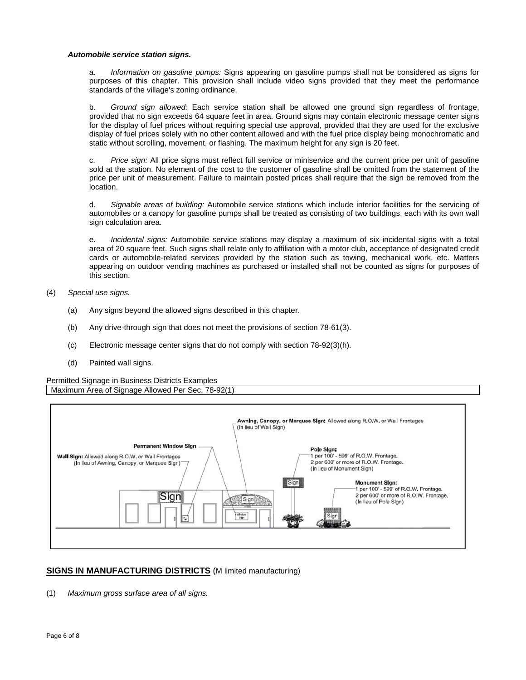#### *Automobile service station signs.*

a. *Information on gasoline pumps:* Signs appearing on gasoline pumps shall not be considered as signs for purposes of this chapter. This provision shall include video signs provided that they meet the performance standards of the village's zoning ordinance.

b. *Ground sign allowed:* Each service station shall be allowed one ground sign regardless of frontage, provided that no sign exceeds 64 square feet in area. Ground signs may contain electronic message center signs for the display of fuel prices without requiring special use approval, provided that they are used for the exclusive display of fuel prices solely with no other content allowed and with the fuel price display being monochromatic and static without scrolling, movement, or flashing. The maximum height for any sign is 20 feet.

c. *Price sign:* All price signs must reflect full service or miniservice and the current price per unit of gasoline sold at the station. No element of the cost to the customer of gasoline shall be omitted from the statement of the price per unit of measurement. Failure to maintain posted prices shall require that the sign be removed from the location.

d. *Signable areas of building:* Automobile service stations which include interior facilities for the servicing of automobiles or a canopy for gasoline pumps shall be treated as consisting of two buildings, each with its own wall sign calculation area.

e. *Incidental signs:* Automobile service stations may display a maximum of six incidental signs with a total area of 20 square feet. Such signs shall relate only to affiliation with a motor club, acceptance of designated credit cards or automobile-related services provided by the station such as towing, mechanical work, etc. Matters appearing on outdoor vending machines as purchased or installed shall not be counted as signs for purposes of this section.

- (4) *Special use signs.*
	- (a) Any signs beyond the allowed signs described in this chapter.
	- (b) Any drive-through sign that does not meet the provisions of section 78-61(3).
	- (c) Electronic message center signs that do not comply with section 78-92(3)(h).
	- (d) Painted wall signs.

Permitted Signage in Business Districts Examples Maximum Area of Signage Allowed Per Sec. 78-92(1)



# **SIGNS IN MANUFACTURING DISTRICTS** (M limited manufacturing)

(1) *Maximum gross surface area of all signs.*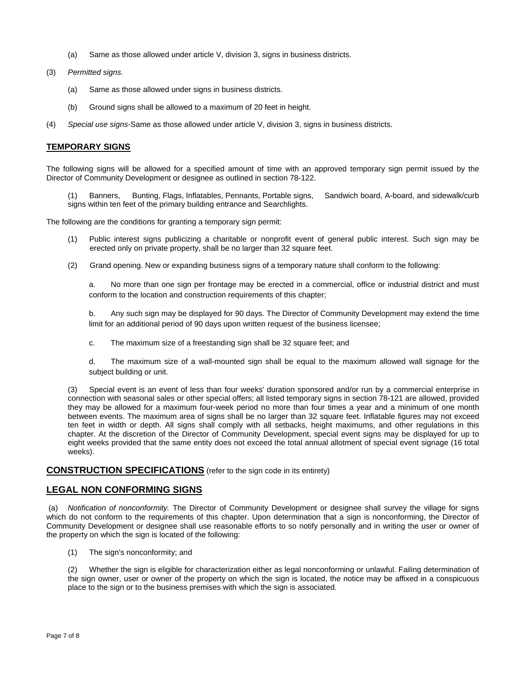- (a) Same as those allowed under article V, division 3, signs in business districts.
- (3) *Permitted signs.*
	- (a) Same as those allowed under signs in business districts.
	- (b) Ground signs shall be allowed to a maximum of 20 feet in height.
- (4) *Special use signs-*Same as those allowed under article V, division 3, signs in business districts.

## **TEMPORARY SIGNS**

The following signs will be allowed for a specified amount of time with an approved temporary sign permit issued by the Director of Community Development or designee as outlined in section 78-122.

(1) Banners, Bunting, Flags, Inflatables, Pennants, Portable signs, Sandwich board, A-board, and sidewalk/curb signs within ten feet of the primary building entrance and Searchlights.

The following are the conditions for granting a temporary sign permit:

- (1) Public interest signs publicizing a charitable or nonprofit event of general public interest. Such sign may be erected only on private property, shall be no larger than 32 square feet.
- (2) Grand opening. New or expanding business signs of a temporary nature shall conform to the following:

a. No more than one sign per frontage may be erected in a commercial, office or industrial district and must conform to the location and construction requirements of this chapter;

b. Any such sign may be displayed for 90 days. The Director of Community Development may extend the time limit for an additional period of 90 days upon written request of the business licensee;

c. The maximum size of a freestanding sign shall be 32 square feet; and

d. The maximum size of a wall-mounted sign shall be equal to the maximum allowed wall signage for the subject building or unit.

(3) Special event is an event of less than four weeks' duration sponsored and/or run by a commercial enterprise in connection with seasonal sales or other special offers; all listed temporary signs in section 78-121 are allowed, provided they may be allowed for a maximum four-week period no more than four times a year and a minimum of one month between events. The maximum area of signs shall be no larger than 32 square feet. Inflatable figures may not exceed ten feet in width or depth. All signs shall comply with all setbacks, height maximums, and other regulations in this chapter. At the discretion of the Director of Community Development, special event signs may be displayed for up to eight weeks provided that the same entity does not exceed the total annual allotment of special event signage (16 total weeks).

## **CONSTRUCTION SPECIFICATIONS** (refer to the sign code in its entirety)

## **LEGAL NON CONFORMING SIGNS**

 (a) *Notification of nonconformity.* The Director of Community Development or designee shall survey the village for signs which do not conform to the requirements of this chapter. Upon determination that a sign is nonconforming, the Director of Community Development or designee shall use reasonable efforts to so notify personally and in writing the user or owner of the property on which the sign is located of the following:

(1) The sign's nonconformity; and

(2) Whether the sign is eligible for characterization either as legal nonconforming or unlawful. Failing determination of the sign owner, user or owner of the property on which the sign is located, the notice may be affixed in a conspicuous place to the sign or to the business premises with which the sign is associated.